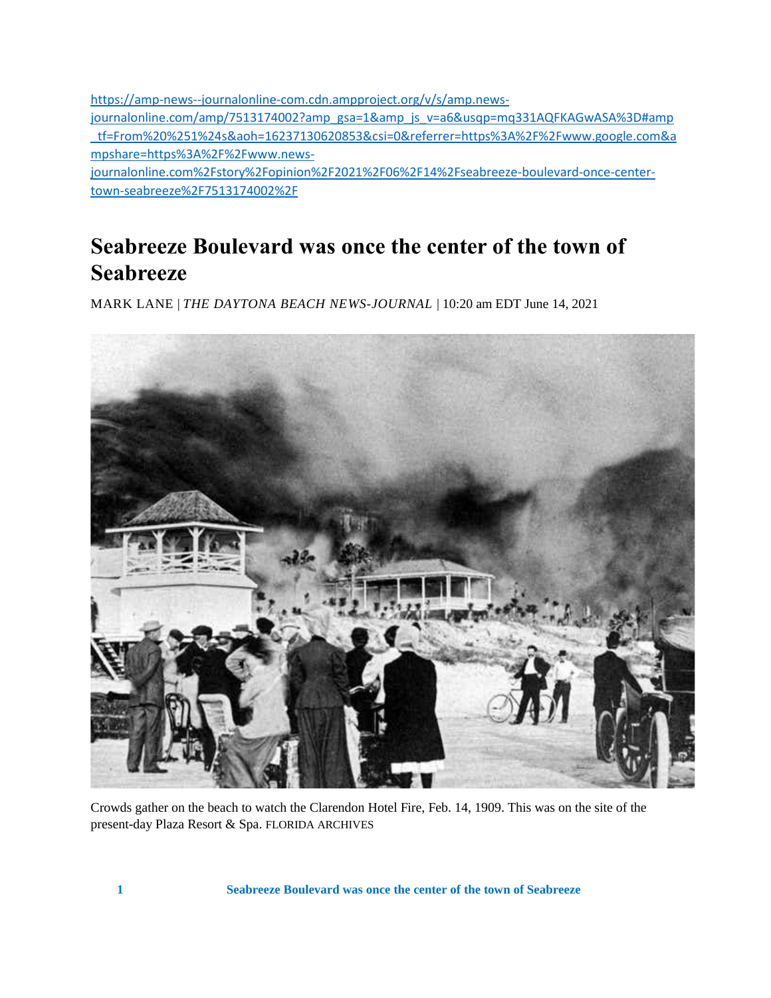[https://amp-news--journalonline-com.cdn.ampproject.org/v/s/amp.news](https://amp-news--journalonline-com.cdn.ampproject.org/v/s/amp.news-journalonline.com/amp/7513174002?amp_gsa=1&_js_v=a6&usqp=mq331AQFKAGwASA%3D#amp_tf=From%20%251%24s&aoh=16237130620853&csi=0&referrer=https%3A%2F%2Fwww.google.com&share=https%3A%2F%2Fwww.news-journalonline.com%2Fstory%2Fopinion%2F2021%2F06%2F14%2Fseabreeze-boulevard-once-center-town-seabreeze%2F7513174002%2F)[journalonline.com/amp/7513174002?amp\\_gsa=1&amp\\_js\\_v=a6&usqp=mq331AQFKAGwASA%3D#amp](https://amp-news--journalonline-com.cdn.ampproject.org/v/s/amp.news-journalonline.com/amp/7513174002?amp_gsa=1&_js_v=a6&usqp=mq331AQFKAGwASA%3D#amp_tf=From%20%251%24s&aoh=16237130620853&csi=0&referrer=https%3A%2F%2Fwww.google.com&share=https%3A%2F%2Fwww.news-journalonline.com%2Fstory%2Fopinion%2F2021%2F06%2F14%2Fseabreeze-boulevard-once-center-town-seabreeze%2F7513174002%2F) [\\_tf=From%20%251%24s&aoh=16237130620853&csi=0&referrer=https%3A%2F%2Fwww.google.com&a](https://amp-news--journalonline-com.cdn.ampproject.org/v/s/amp.news-journalonline.com/amp/7513174002?amp_gsa=1&_js_v=a6&usqp=mq331AQFKAGwASA%3D#amp_tf=From%20%251%24s&aoh=16237130620853&csi=0&referrer=https%3A%2F%2Fwww.google.com&share=https%3A%2F%2Fwww.news-journalonline.com%2Fstory%2Fopinion%2F2021%2F06%2F14%2Fseabreeze-boulevard-once-center-town-seabreeze%2F7513174002%2F) [mpshare=https%3A%2F%2Fwww.news-](https://amp-news--journalonline-com.cdn.ampproject.org/v/s/amp.news-journalonline.com/amp/7513174002?amp_gsa=1&_js_v=a6&usqp=mq331AQFKAGwASA%3D#amp_tf=From%20%251%24s&aoh=16237130620853&csi=0&referrer=https%3A%2F%2Fwww.google.com&share=https%3A%2F%2Fwww.news-journalonline.com%2Fstory%2Fopinion%2F2021%2F06%2F14%2Fseabreeze-boulevard-once-center-town-seabreeze%2F7513174002%2F)

[journalonline.com%2Fstory%2Fopinion%2F2021%2F06%2F14%2Fseabreeze-boulevard-once-center](https://amp-news--journalonline-com.cdn.ampproject.org/v/s/amp.news-journalonline.com/amp/7513174002?amp_gsa=1&_js_v=a6&usqp=mq331AQFKAGwASA%3D#amp_tf=From%20%251%24s&aoh=16237130620853&csi=0&referrer=https%3A%2F%2Fwww.google.com&share=https%3A%2F%2Fwww.news-journalonline.com%2Fstory%2Fopinion%2F2021%2F06%2F14%2Fseabreeze-boulevard-once-center-town-seabreeze%2F7513174002%2F)[town-seabreeze%2F7513174002%2F](https://amp-news--journalonline-com.cdn.ampproject.org/v/s/amp.news-journalonline.com/amp/7513174002?amp_gsa=1&_js_v=a6&usqp=mq331AQFKAGwASA%3D#amp_tf=From%20%251%24s&aoh=16237130620853&csi=0&referrer=https%3A%2F%2Fwww.google.com&share=https%3A%2F%2Fwww.news-journalonline.com%2Fstory%2Fopinion%2F2021%2F06%2F14%2Fseabreeze-boulevard-once-center-town-seabreeze%2F7513174002%2F)

## **Seabreeze Boulevard was once the center of the town of Seabreeze**

MARK LANE | *THE DAYTONA BEACH NEWS-JOURNAL* | 10:20 am EDT June 14, 2021



Crowds gather on the beach to watch the Clarendon Hotel Fire, Feb. 14, 1909. This was on the site of the present-day Plaza Resort & Spa. FLORIDA ARCHIVES

**1 Seabreeze Boulevard was once the center of the town of Seabreeze**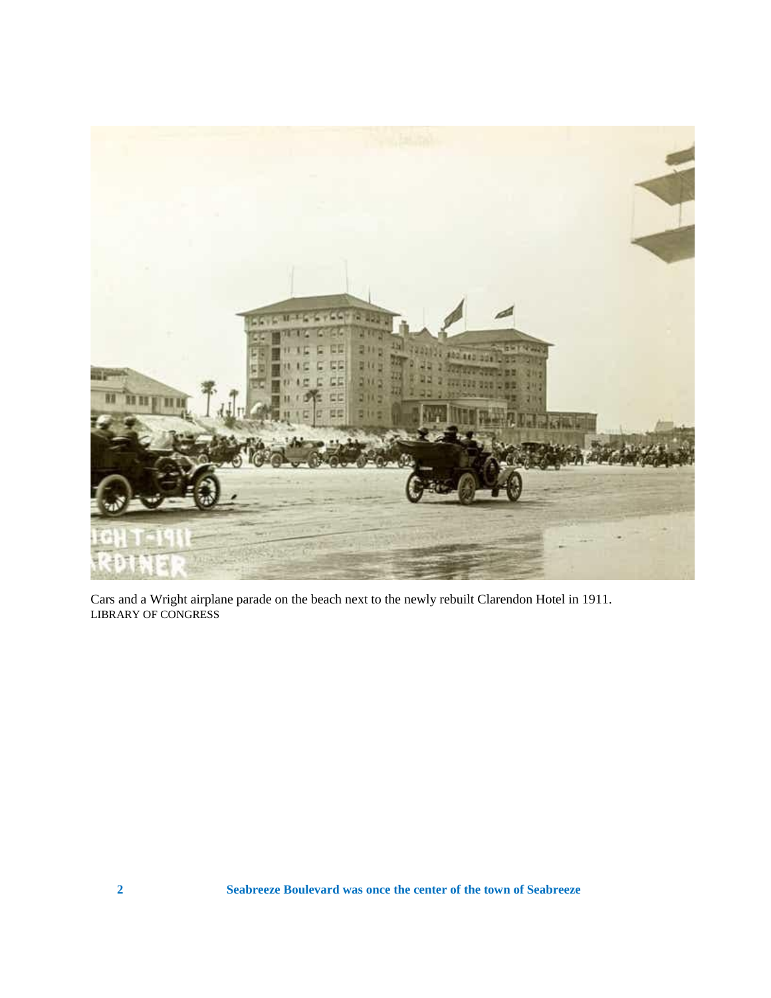

Cars and a Wright airplane parade on the beach next to the newly rebuilt Clarendon Hotel in 1911. LIBRARY OF CONGRESS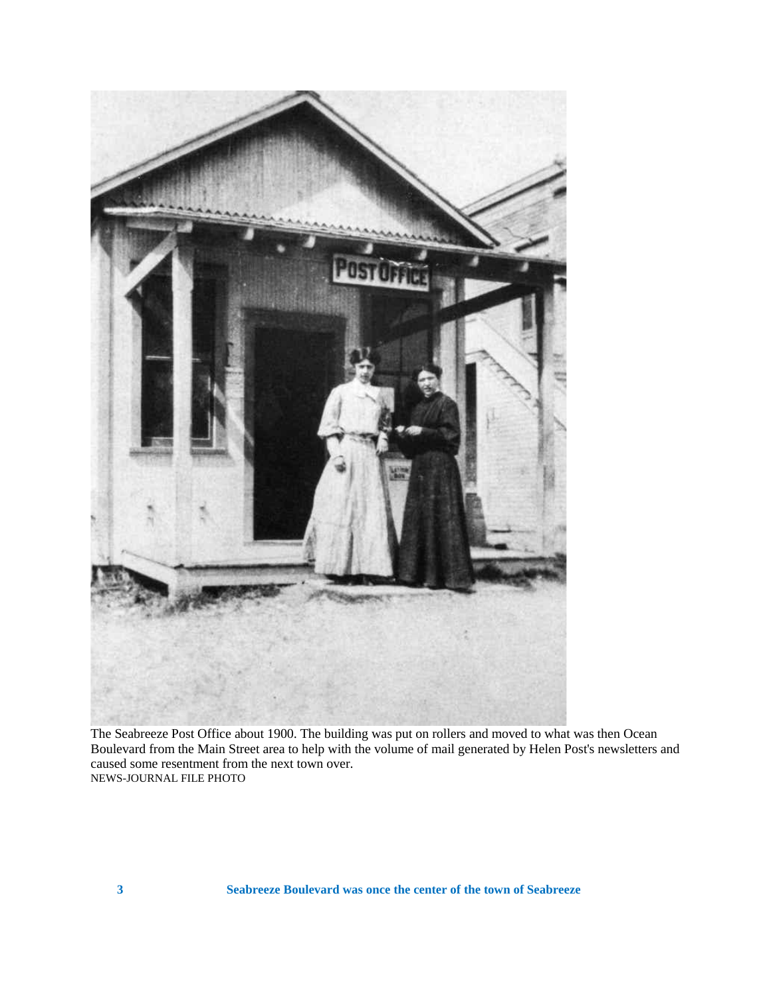

The Seabreeze Post Office about 1900. The building was put on rollers and moved to what was then Ocean Boulevard from the Main Street area to help with the volume of mail generated by Helen Post's newsletters and caused some resentment from the next town over. NEWS-JOURNAL FILE PHOTO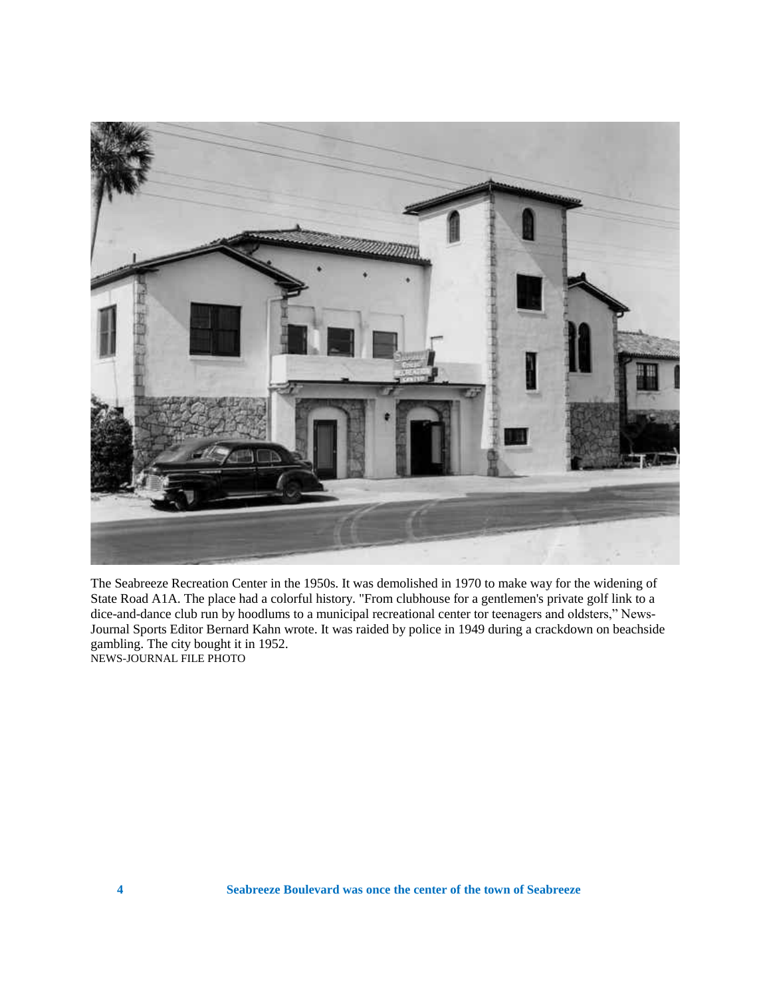

The Seabreeze Recreation Center in the 1950s. It was demolished in 1970 to make way for the widening of State Road A1A. The place had a colorful history. "From clubhouse for a gentlemen's private golf link to a dice-and-dance club run by hoodlums to a municipal recreational center tor teenagers and oldsters," News-Journal Sports Editor Bernard Kahn wrote. It was raided by police in 1949 during a crackdown on beachside gambling. The city bought it in 1952. NEWS-JOURNAL FILE PHOTO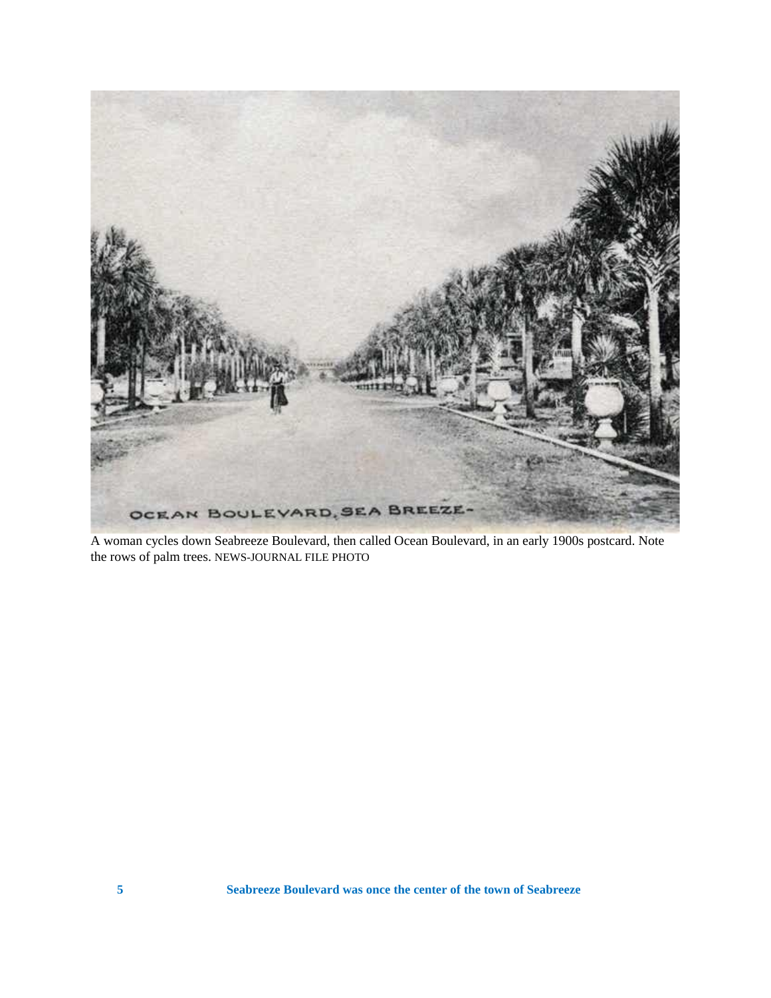

A woman cycles down Seabreeze Boulevard, then called Ocean Boulevard, in an early 1900s postcard. Note the rows of palm trees. NEWS-JOURNAL FILE PHOTO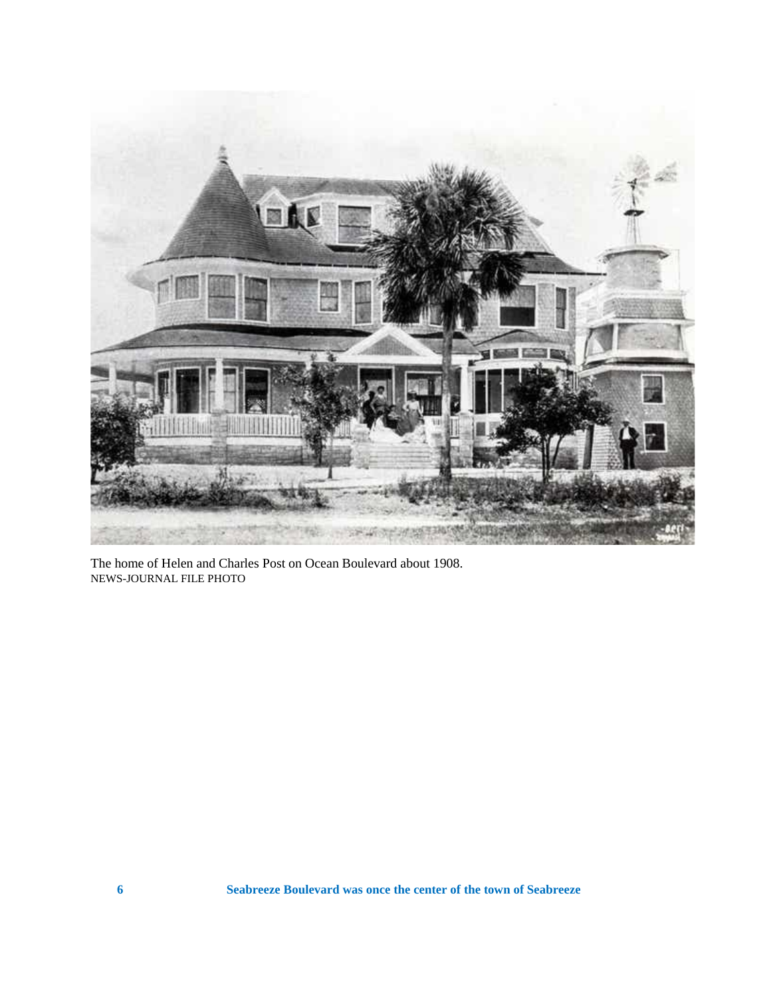

The home of Helen and Charles Post on Ocean Boulevard about 1908. NEWS-JOURNAL FILE PHOTO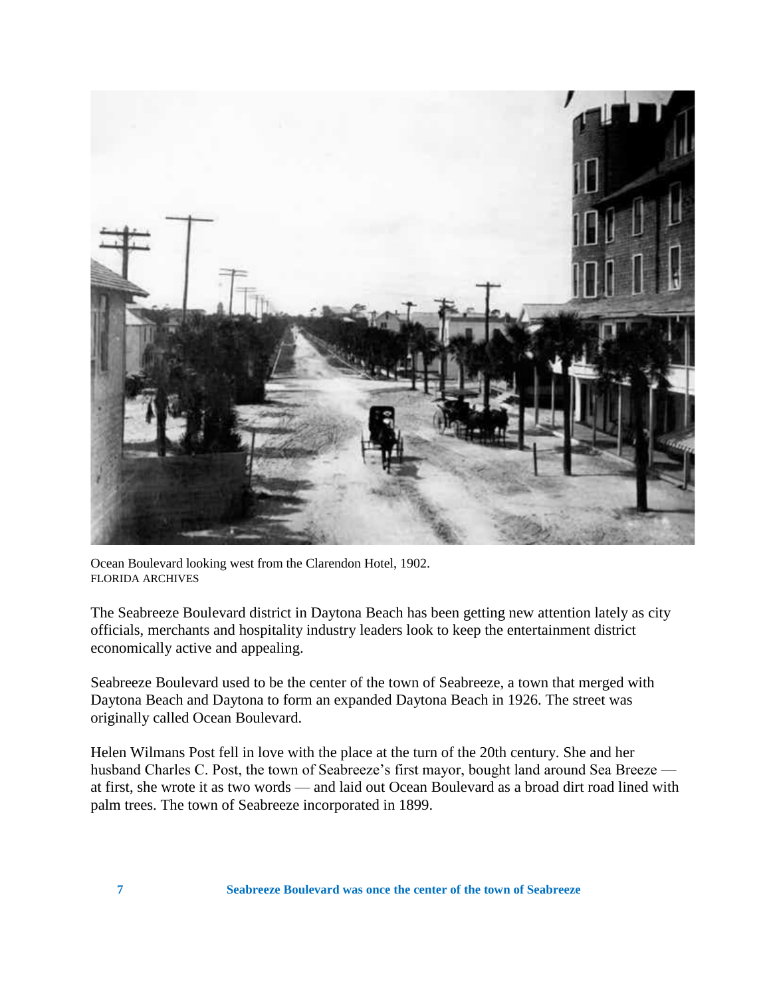

Ocean Boulevard looking west from the Clarendon Hotel, 1902. FLORIDA ARCHIVES

The Seabreeze Boulevard district in Daytona Beach has been getting new attention lately as city officials, merchants and hospitality industry leaders look to keep the entertainment district economically active and appealing.

Seabreeze Boulevard used to be the center of the town of Seabreeze, a town that merged with Daytona Beach and Daytona to form an expanded Daytona Beach in 1926. The street was originally called Ocean Boulevard.

Helen Wilmans Post fell in love with the place at the turn of the 20th century. She and her husband Charles C. Post, the town of Seabreeze's first mayor, bought land around Sea Breeze at first, she wrote it as two words — and laid out Ocean Boulevard as a broad dirt road lined with palm trees. The town of Seabreeze incorporated in 1899.